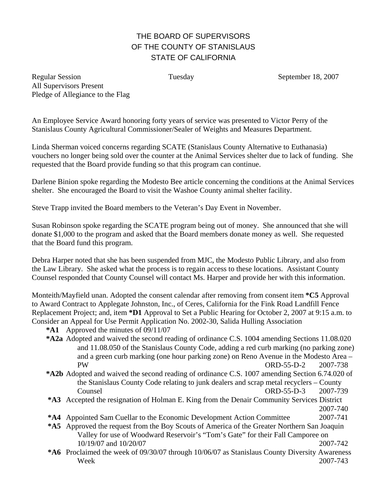## THE BOARD OF SUPERVISORS OF THE COUNTY OF STANISLAUS STATE OF CALIFORNIA

Regular Session Tuesday Tuesday September 18, 2007 All Supervisors Present Pledge of Allegiance to the Flag

An Employee Service Award honoring forty years of service was presented to Victor Perry of the Stanislaus County Agricultural Commissioner/Sealer of Weights and Measures Department.

Linda Sherman voiced concerns regarding SCATE (Stanislaus County Alternative to Euthanasia) vouchers no longer being sold over the counter at the Animal Services shelter due to lack of funding. She requested that the Board provide funding so that this program can continue.

Darlene Binion spoke regarding the Modesto Bee article concerning the conditions at the Animal Services shelter. She encouraged the Board to visit the Washoe County animal shelter facility.

Steve Trapp invited the Board members to the Veteran's Day Event in November.

Susan Robinson spoke regarding the SCATE program being out of money. She announced that she will donate \$1,000 to the program and asked that the Board members donate money as well. She requested that the Board fund this program.

Debra Harper noted that she has been suspended from MJC, the Modesto Public Library, and also from the Law Library. She asked what the process is to regain access to these locations. Assistant County Counsel responded that County Counsel will contact Ms. Harper and provide her with this information.

Monteith/Mayfield unan. Adopted the consent calendar after removing from consent item **\*C5** Approval to Award Contract to Applegate Johnston, Inc., of Ceres, California for the Fink Road Landfill Fence Replacement Project; and, item **\*D1** Approval to Set a Public Hearing for October 2, 2007 at 9:15 a.m. to Consider an Appeal for Use Permit Application No. 2002-30, Salida Hulling Association

**\*A1** Approved the minutes of 09/11/07

- **\*A2a** Adopted and waived the second reading of ordinance C.S. 1004 amending Sections 11.08.020 and 11.08.050 of the Stanislaus County Code, adding a red curb marking (no parking zone) and a green curb marking (one hour parking zone) on Reno Avenue in the Modesto Area – PW ORD-55-D-2 2007-738
- **\*A2b** Adopted and waived the second reading of ordinance C.S. 1007 amending Section 6.74.020 of the Stanislaus County Code relating to junk dealers and scrap metal recyclers – County Counsel ORD-55-D-3 2007-739
- **\*A3** Accepted the resignation of Holman E. King from the Denair Community Services District 2007-740
- **\*A4** Appointed Sam Cuellar to the Economic Development Action Committee 2007-741

**\*A5** Approved the request from the Boy Scouts of America of the Greater Northern San Joaquin Valley for use of Woodward Reservoir's "Tom's Gate" for their Fall Camporee on 10/19/07 and 10/20/07 2007-742

**\*A6** Proclaimed the week of 09/30/07 through 10/06/07 as Stanislaus County Diversity Awareness Week 2007-743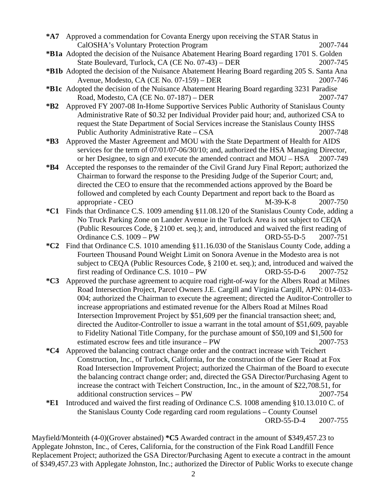| $*$ A7 | Approved a commendation for Covanta Energy upon receiving the STAR Status in                                                                                                    |          |  |
|--------|---------------------------------------------------------------------------------------------------------------------------------------------------------------------------------|----------|--|
|        | CalOSHA's Voluntary Protection Program                                                                                                                                          | 2007-744 |  |
|        | *B1a Adopted the decision of the Nuisance Abatement Hearing Board regarding 1701 S. Golden                                                                                      |          |  |
|        | State Boulevard, Turlock, CA (CE No. 07-43) – DER                                                                                                                               | 2007-745 |  |
|        | *B1b Adopted the decision of the Nuisance Abatement Hearing Board regarding 205 S. Santa Ana                                                                                    |          |  |
|        | Avenue, Modesto, CA (CE No. 07-159) - DER                                                                                                                                       | 2007-746 |  |
|        | *B1c Adopted the decision of the Nuisance Abatement Hearing Board regarding 3231 Paradise                                                                                       |          |  |
|        | Road, Modesto, CA (CE No. 07-187) - DER                                                                                                                                         | 2007-747 |  |
| $*B2$  | Approved FY 2007-08 In-Home Supportive Services Public Authority of Stanislaus County                                                                                           |          |  |
|        | Administrative Rate of \$0.32 per Individual Provider paid hour; and, authorized CSA to                                                                                         |          |  |
|        | request the State Department of Social Services increase the Stanislaus County IHSS                                                                                             |          |  |
|        | Public Authority Administrative Rate - CSA                                                                                                                                      | 2007-748 |  |
| $*B3$  | Approved the Master Agreement and MOU with the State Department of Health for AIDS                                                                                              |          |  |
|        | services for the term of 07/01/07-06/30/10; and, authorized the HSA Managing Director,                                                                                          |          |  |
|        | or her Designee, to sign and execute the amended contract and MOU – HSA                                                                                                         | 2007-749 |  |
| $*B4$  | Accepted the responses to the remainder of the Civil Grand Jury Final Report; authorized the                                                                                    |          |  |
|        | Chairman to forward the response to the Presiding Judge of the Superior Court; and,                                                                                             |          |  |
|        | directed the CEO to ensure that the recommended actions approved by the Board be                                                                                                |          |  |
|        | followed and completed by each County Department and report back to the Board as                                                                                                |          |  |
|        | appropriate - CEO<br>$M-39-K-8$                                                                                                                                                 | 2007-750 |  |
| *C1    | Finds that Ordinance C.S. 1009 amending §11.08.120 of the Stanislaus County Code, adding a<br>No Truck Parking Zone on Lander Avenue in the Turlock Area is not subject to CEQA |          |  |
|        | (Public Resources Code, § 2100 et. seq.); and, introduced and waived the first reading of                                                                                       |          |  |
|        | Ordinance C.S. 1009 – PW<br>ORD-55-D-5                                                                                                                                          | 2007-751 |  |
| $*C2$  | Find that Ordinance C.S. 1010 amending §11.16.030 of the Stanislaus County Code, adding a                                                                                       |          |  |
|        | Fourteen Thousand Pound Weight Limit on Sonora Avenue in the Modesto area is not                                                                                                |          |  |
|        | subject to CEQA (Public Resources Code, § 2100 et. seq.); and, introduced and waived the                                                                                        |          |  |
|        | first reading of Ordinance C.S. 1010 – PW<br>ORD-55-D-6                                                                                                                         | 2007-752 |  |
| $*C3$  | Approved the purchase agreement to acquire road right-of-way for the Albers Road at Milnes                                                                                      |          |  |
|        | Road Intersection Project, Parcel Owners J.E. Cargill and Virginia Cargill, APN: 014-033-                                                                                       |          |  |
|        | 004; authorized the Chairman to execute the agreement; directed the Auditor-Controller to                                                                                       |          |  |
|        | increase appropriations and estimated revenue for the Albers Road at Milnes Road                                                                                                |          |  |
|        | Intersection Improvement Project by \$51,609 per the financial transaction sheet; and,                                                                                          |          |  |
|        | directed the Auditor-Controller to issue a warrant in the total amount of \$51,609, payable                                                                                     |          |  |
|        | to Fidelity National Title Company, for the purchase amount of \$50,109 and \$1,500 for                                                                                         |          |  |
|        | estimated escrow fees and title insurance – PW                                                                                                                                  | 2007-753 |  |
| $*C4$  | Approved the balancing contract change order and the contract increase with Teichert                                                                                            |          |  |
|        | Construction, Inc., of Turlock, California, for the construction of the Geer Road at Fox                                                                                        |          |  |
|        | Road Intersection Improvement Project; authorized the Chairman of the Board to execute                                                                                          |          |  |
|        | the balancing contract change order; and, directed the GSA Director/Purchasing Agent to                                                                                         |          |  |
|        | increase the contract with Teichert Construction, Inc., in the amount of \$22,708.51, for                                                                                       |          |  |

**\*E1** Introduced and waived the first reading of Ordinance C.S. 1008 amending §10.13.010 C. of the Stanislaus County Code regarding card room regulations – County Counsel

additional construction services – PW 2007-754

ORD-55-D-4 2007-755

Mayfield/Monteith (4-0)(Grover abstained) **\*C5** Awarded contract in the amount of \$349,457.23 to Applegate Johnston, Inc., of Ceres, California, for the construction of the Fink Road Landfill Fence Replacement Project; authorized the GSA Director/Purchasing Agent to execute a contract in the amount of \$349,457.23 with Applegate Johnston, Inc.; authorized the Director of Public Works to execute change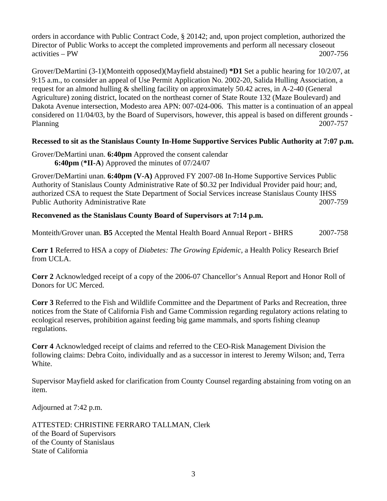orders in accordance with Public Contract Code, § 20142; and, upon project completion, authorized the Director of Public Works to accept the completed improvements and perform all necessary closeout activities – PW 2007-756

Grover/DeMartini (3-1)(Monteith opposed)(Mayfield abstained) **\*D1** Set a public hearing for 10/2/07, at 9:15 a.m., to consider an appeal of Use Permit Application No. 2002-20, Salida Hulling Association, a request for an almond hulling & shelling facility on approximately 50.42 acres, in A-2-40 (General Agriculture) zoning district, located on the northeast corner of State Route 132 (Maze Boulevard) and Dakota Avenue intersection, Modesto area APN: 007-024-006. This matter is a continuation of an appeal considered on 11/04/03, by the Board of Supervisors, however, this appeal is based on different grounds - Planning 2007-757

## **Recessed to sit as the Stanislaus County In-Home Supportive Services Public Authority at 7:07 p.m.**

Grover/DeMartini unan. **6:40pm** Approved the consent calendar **6:40pm** (**\*II-A**) Approved the minutes of 07/24/07

Grover/DeMartini unan. **6:40pm (V-A)** Approved FY 2007-08 In-Home Supportive Services Public Authority of Stanislaus County Administrative Rate of \$0.32 per Individual Provider paid hour; and, authorized CSA to request the State Department of Social Services increase Stanislaus County IHSS Public Authority Administrative Rate 2007-759

## **Reconvened as the Stanislaus County Board of Supervisors at 7:14 p.m.**

Monteith/Grover unan. **B5** Accepted the Mental Health Board Annual Report - BHRS2007-758

**Corr 1** Referred to HSA a copy of *Diabetes: The Growing Epidemic*, a Health Policy Research Brief from UCLA.

**Corr 2** Acknowledged receipt of a copy of the 2006-07 Chancellor's Annual Report and Honor Roll of Donors for UC Merced.

**Corr 3** Referred to the Fish and Wildlife Committee and the Department of Parks and Recreation, three notices from the State of California Fish and Game Commission regarding regulatory actions relating to ecological reserves, prohibition against feeding big game mammals, and sports fishing cleanup regulations.

**Corr 4** Acknowledged receipt of claims and referred to the CEO-Risk Management Division the following claims: Debra Coito, individually and as a successor in interest to Jeremy Wilson; and, Terra White.

Supervisor Mayfield asked for clarification from County Counsel regarding abstaining from voting on an item.

Adjourned at 7:42 p.m.

ATTESTED: CHRISTINE FERRARO TALLMAN, Clerk of the Board of Supervisors of the County of Stanislaus State of California